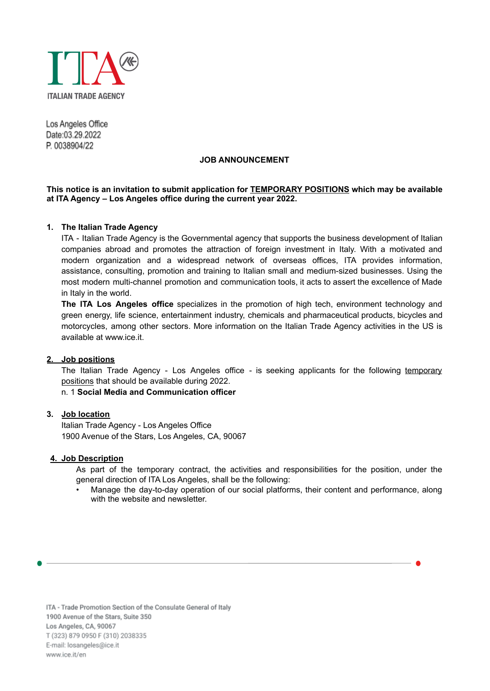

Los Angeles Office Date:03.29.2022 P. 0038904/22

#### **JOB ANNOUNCEMENT**

### **This notice is an invitation to submit application for TEMPORARY POSITIONS which may be available at ITA Agency – Los Angeles office during the current year 2022.**

### **1. The Italian Trade Agency**

ITA - Italian Trade Agency is the Governmental agency that supports the business development of Italian companies abroad and promotes the attraction of foreign investment in Italy. With a motivated and modern organization and a widespread network of overseas offices, ITA provides information, assistance, consulting, promotion and training to Italian small and medium-sized businesses. Using the most modern multi-channel promotion and communication tools, it acts to assert the excellence of Made in Italy in the world.

**The ITA Los Angeles office** specializes in the promotion of high tech, environment technology and green energy, life science, entertainment industry, chemicals and pharmaceutical products, bicycles and motorcycles, among other sectors. More information on the Italian Trade Agency activities in the US is available at [www.ice.it](http://www.ice.it).

#### **2. Job positions**

The Italian Trade Agency - Los Angeles office - is seeking applicants for the following temporary positions that should be available during 2022.

n. 1 **Social Media and Communication officer**

# **3. Job location**

Italian Trade Agency - Los Angeles Office 1900 Avenue of the Stars, Los Angeles, CA, 90067

#### **4. Job Description**

As part of the temporary contract, the activities and responsibilities for the position, under the general direction of ITA Los Angeles, shall be the following:

• Manage the day-to-day operation of our social platforms, their content and performance, along with the website and newsletter.

ITA - Trade Promotion Section of the Consulate General of Italy 1900 Avenue of the Stars, Suite 350 Los Angeles, CA, 90067 T (323) 879 0950 F (310) 2038335 E-mail: losangeles@ice.it www.ice.it/en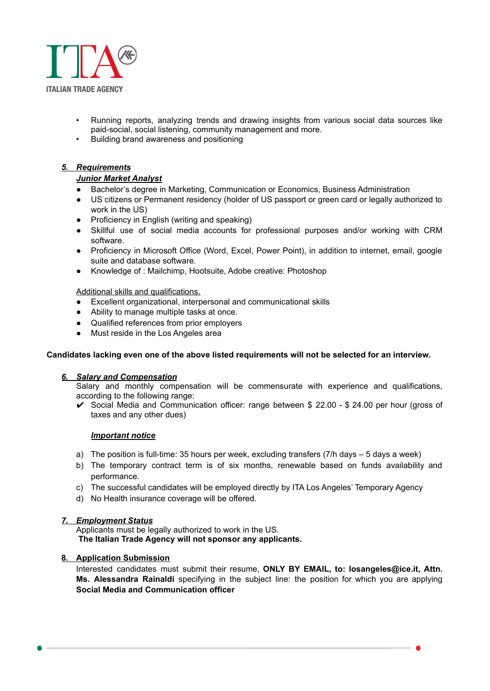

- Running reports, analyzing trends and drawing insights from various social data sources like paid-social, social listening, community management and more.
- Building brand awareness and positioning

# *5. Requirements*

### *Junior Market Analyst*

- Bachelor's degree in Marketing, Communication or Economics, Business Administration
- US citizens or Permanent residency (holder of US passport or green card or legally authorized to work in the US)
- Proficiency in English (writing and speaking)
- Skillful use of social media accounts for professional purposes and/or working with CRM software.
- Proficiency in Microsoft Office (Word, Excel, Power Point), in addition to internet, email, google suite and database software.
- Knowledge of : Mailchimp, Hootsuite, Adobe creative: Photoshop

Additional skills and qualifications.

- Excellent organizational, interpersonal and communicational skills
- Ability to manage multiple tasks at once.
- Qualified references from prior employers
- Must reside in the Los Angeles area

### **Candidates lacking even one of the above listed requirements will not be selected for an interview.**

### *6. Salary and Compensation*

Salary and monthly compensation will be commensurate with experience and qualifications, according to the following range:

✔ Social Media and Communication officer: range between \$ 22.00 - \$ 24.00 per hour (gross of taxes and any other dues)

### *Important notice*

- a) The position is full-time: 35 hours per week, excluding transfers (7/h days 5 days a week)
- b) The temporary contract term is of six months, renewable based on funds availability and performance.
- c) The successful candidates will be employed directly by ITA Los Angeles' Temporary Agency
- d) No Health insurance coverage will be offered.

### *7. Employment Status*

Applicants must be legally authorized to work in the US. **The Italian Trade Agency will not sponsor any applicants.**

### **8. Application Submission**

Interested candidates must submit their resume, **ONLY BY EMAIL, to: losangeles@ice.it, Attn. Ms. Alessandra Rainaldi** specifying in the subject line: the position for which you are applying **Social Media and Communication officer**